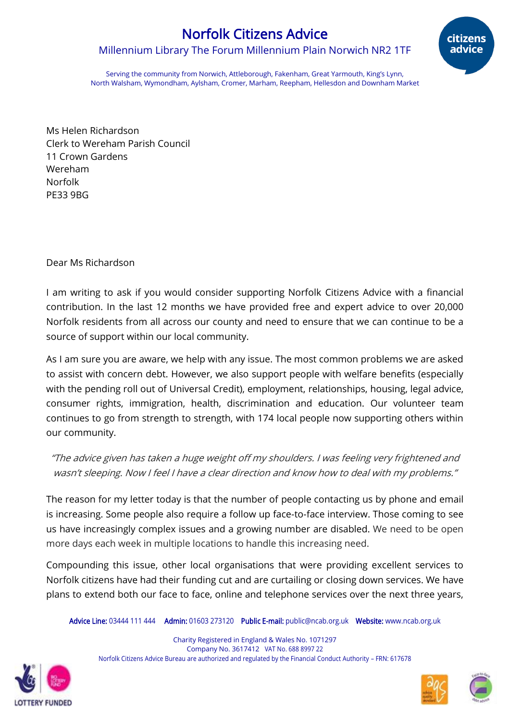## Norfolk Citizens Advice

Millennium Library The Forum Millennium Plain Norwich NR2 1TF



Serving the community from Norwich, Attleborough, Fakenham, Great Yarmouth, King's Lynn, North Walsham, Wymondham, Aylsham, Cromer, Marham, Reepham, Hellesdon and Downham Market

Ms Helen Richardson Clerk to Wereham Parish Council 11 Crown Gardens Wereham Norfolk PE33 9BG

## Dear Ms Richardson

I am writing to ask if you would consider supporting Norfolk Citizens Advice with a financial contribution. In the last 12 months we have provided free and expert advice to over 20,000 Norfolk residents from all across our county and need to ensure that we can continue to be a source of support within our local community.

As I am sure you are aware, we help with any issue. The most common problems we are asked to assist with concern debt. However, we also support people with welfare benefits (especially with the pending roll out of Universal Credit), employment, relationships, housing, legal advice, consumer rights, immigration, health, discrimination and education. Our volunteer team continues to go from strength to strength, with 174 local people now supporting others within our community.

"The advice given has taken a huge weight off my shoulders. I was feeling very frightened and wasn't sleeping. Now I feel I have a clear direction and know how to deal with my problems.''

The reason for my letter today is that the number of people contacting us by phone and email is increasing. Some people also require a follow up face-to-face interview. Those coming to see us have increasingly complex issues and a growing number are disabled. We need to be open more days each week in multiple locations to handle this increasing need.

Compounding this issue, other local organisations that were providing excellent services to Norfolk citizens have had their funding cut and are curtailing or closing down services. We have plans to extend both our face to face, online and telephone services over the next three years,

Advice Line: 03444 111 444 Admin: 01603 273120 Public E-mail: public@ncab.org.uk Website: www.ncab.org.uk